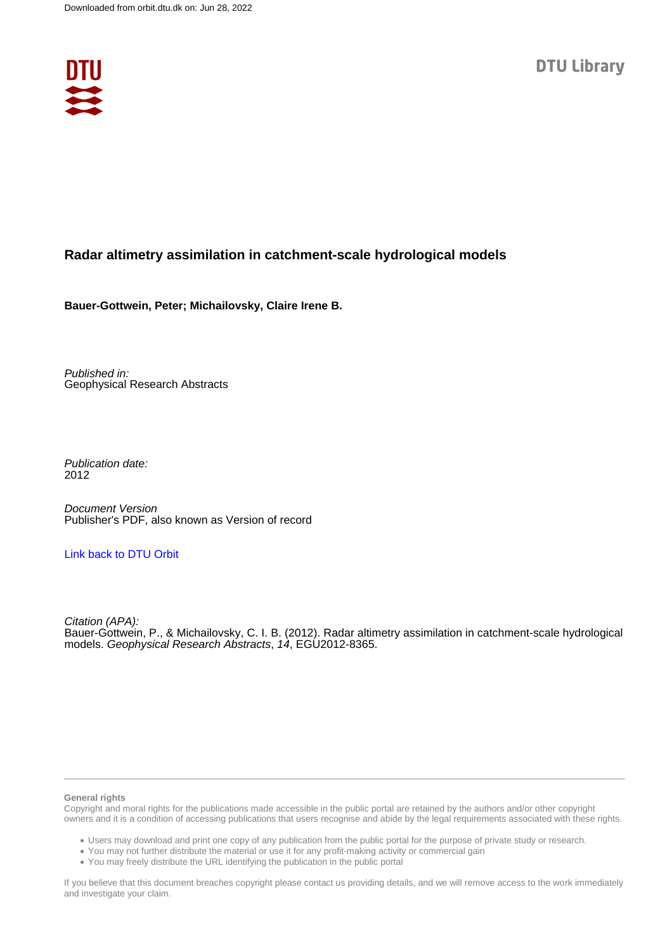

## **Radar altimetry assimilation in catchment-scale hydrological models**

**Bauer-Gottwein, Peter; Michailovsky, Claire Irene B.**

Published in: Geophysical Research Abstracts

Publication date: 2012

Document Version Publisher's PDF, also known as Version of record

## [Link back to DTU Orbit](https://orbit.dtu.dk/en/publications/223c32c6-1122-400d-bc0c-b3d054844410)

Citation (APA): Bauer-Gottwein, P., & Michailovsky, C. I. B. (2012). Radar altimetry assimilation in catchment-scale hydrological models. Geophysical Research Abstracts, 14, EGU2012-8365.

#### **General rights**

Copyright and moral rights for the publications made accessible in the public portal are retained by the authors and/or other copyright owners and it is a condition of accessing publications that users recognise and abide by the legal requirements associated with these rights.

Users may download and print one copy of any publication from the public portal for the purpose of private study or research.

- You may not further distribute the material or use it for any profit-making activity or commercial gain
- You may freely distribute the URL identifying the publication in the public portal

If you believe that this document breaches copyright please contact us providing details, and we will remove access to the work immediately and investigate your claim.